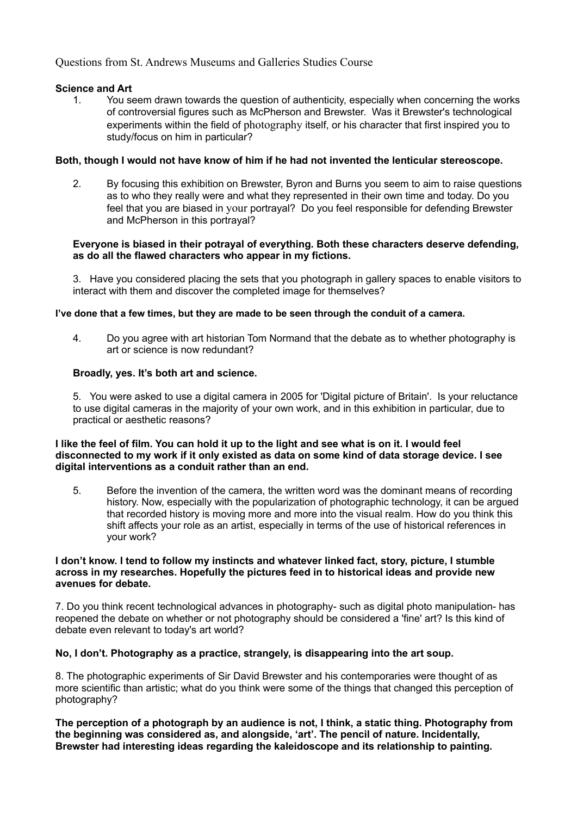# **Science and Art**

1. You seem drawn towards the question of authenticity, especially when concerning the works of controversial figures such as McPherson and Brewster. Was it Brewster's technological experiments within the field of photography itself, or his character that first inspired you to study/focus on him in particular?

# **Both, though I would not have know of him if he had not invented the lenticular stereoscope.**

2. By focusing this exhibition on Brewster, Byron and Burns you seem to aim to raise questions as to who they really were and what they represented in their own time and today. Do you feel that you are biased in your portrayal? Do you feel responsible for defending Brewster and McPherson in this portrayal?

# **Everyone is biased in their potrayal of everything. Both these characters deserve defending, as do all the flawed characters who appear in my fictions.**

3. Have you considered placing the sets that you photograph in gallery spaces to enable visitors to interact with them and discover the completed image for themselves?

### **I've done that a few times, but they are made to be seen through the conduit of a camera.**

4. Do you agree with art historian Tom Normand that the debate as to whether photography is art or science is now redundant?

# **Broadly, yes. It's both art and science.**

5. You were asked to use a digital camera in 2005 for 'Digital picture of Britain'. Is your reluctance to use digital cameras in the majority of your own work, and in this exhibition in particular, due to practical or aesthetic reasons?

#### **I like the feel of film. You can hold it up to the light and see what is on it. I would feel disconnected to my work if it only existed as data on some kind of data storage device. I see digital interventions as a conduit rather than an end.**

5. Before the invention of the camera, the written word was the dominant means of recording history. Now, especially with the popularization of photographic technology, it can be argued that recorded history is moving more and more into the visual realm. How do you think this shift affects your role as an artist, especially in terms of the use of historical references in your work?

#### **I don't know. I tend to follow my instincts and whatever linked fact, story, picture, I stumble across in my researches. Hopefully the pictures feed in to historical ideas and provide new avenues for debate.**

7. Do you think recent technological advances in photography- such as digital photo manipulation- has reopened the debate on whether or not photography should be considered a 'fine' art? Is this kind of debate even relevant to today's art world?

### **No, I don't. Photography as a practice, strangely, is disappearing into the art soup.**

8. The photographic experiments of Sir David Brewster and his contemporaries were thought of as more scientific than artistic; what do you think were some of the things that changed this perception of photography?

**The perception of a photograph by an audience is not, I think, a static thing. Photography from the beginning was considered as, and alongside, 'art'. The pencil of nature. Incidentally, Brewster had interesting ideas regarding the kaleidoscope and its relationship to painting.**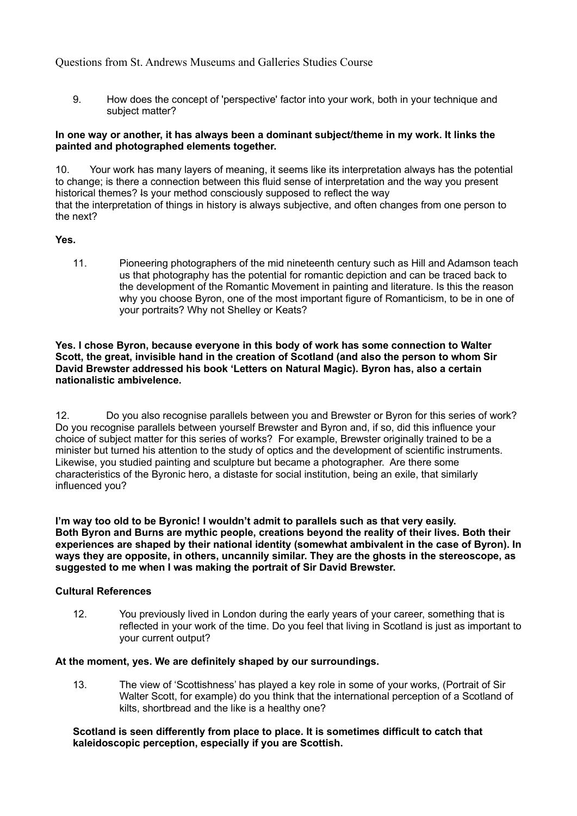9. How does the concept of 'perspective' factor into your work, both in your technique and subject matter?

#### **In one way or another, it has always been a dominant subject/theme in my work. It links the painted and photographed elements together.**

10. Your work has many layers of meaning, it seems like its interpretation always has the potential to change; is there a connection between this fluid sense of interpretation and the way you present historical themes? Is your method consciously supposed to reflect the way that the interpretation of things in history is always subjective, and often changes from one person to the next?

#### **Yes.**

11. Pioneering photographers of the mid nineteenth century such as Hill and Adamson teach us that photography has the potential for romantic depiction and can be traced back to the development of the Romantic Movement in painting and literature. Is this the reason why you choose Byron, one of the most important figure of Romanticism, to be in one of your portraits? Why not Shelley or Keats?

#### **Yes. I chose Byron, because everyone in this body of work has some connection to Walter Scott, the great, invisible hand in the creation of Scotland (and also the person to whom Sir David Brewster addressed his book 'Letters on Natural Magic). Byron has, also a certain nationalistic ambivelence.**

12. Do you also recognise parallels between you and Brewster or Byron for this series of work? Do you recognise parallels between yourself Brewster and Byron and, if so, did this influence your choice of subject matter for this series of works? For example, Brewster originally trained to be a minister but turned his attention to the study of optics and the development of scientific instruments. Likewise, you studied painting and sculpture but became a photographer. Are there some characteristics of the Byronic hero, a distaste for social institution, being an exile, that similarly influenced you?

**I'm way too old to be Byronic! I wouldn't admit to parallels such as that very easily. Both Byron and Burns are mythic people, creations beyond the reality of their lives. Both their experiences are shaped by their national identity (somewhat ambivalent in the case of Byron). In ways they are opposite, in others, uncannily similar. They are the ghosts in the stereoscope, as suggested to me when I was making the portrait of Sir David Brewster.**

#### **Cultural References**

12. You previously lived in London during the early years of your career, something that is reflected in your work of the time. Do you feel that living in Scotland is just as important to your current output?

#### **At the moment, yes. We are definitely shaped by our surroundings.**

13. The view of 'Scottishness' has played a key role in some of your works, (Portrait of Sir Walter Scott, for example) do you think that the international perception of a Scotland of kilts, shortbread and the like is a healthy one?

#### **Scotland is seen differently from place to place. It is sometimes difficult to catch that kaleidoscopic perception, especially if you are Scottish.**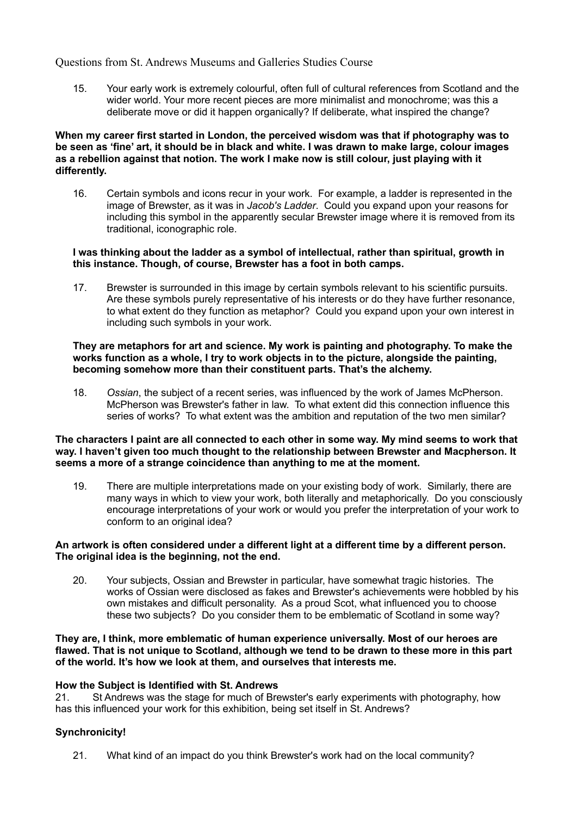15. Your early work is extremely colourful, often full of cultural references from Scotland and the wider world. Your more recent pieces are more minimalist and monochrome; was this a deliberate move or did it happen organically? If deliberate, what inspired the change?

#### **When my career first started in London, the perceived wisdom was that if photography was to be seen as 'fine' art, it should be in black and white. I was drawn to make large, colour images as a rebellion against that notion. The work I make now is still colour, just playing with it differently.**

16. Certain symbols and icons recur in your work. For example, a ladder is represented in the image of Brewster, as it was in *Jacob's Ladder*. Could you expand upon your reasons for including this symbol in the apparently secular Brewster image where it is removed from its traditional, iconographic role.

#### **I was thinking about the ladder as a symbol of intellectual, rather than spiritual, growth in this instance. Though, of course, Brewster has a foot in both camps.**

17. Brewster is surrounded in this image by certain symbols relevant to his scientific pursuits. Are these symbols purely representative of his interests or do they have further resonance, to what extent do they function as metaphor? Could you expand upon your own interest in including such symbols in your work.

#### **They are metaphors for art and science. My work is painting and photography. To make the works function as a whole, I try to work objects in to the picture, alongside the painting, becoming somehow more than their constituent parts. That's the alchemy.**

18. *Ossian*, the subject of a recent series, was influenced by the work of James McPherson. McPherson was Brewster's father in law. To what extent did this connection influence this series of works? To what extent was the ambition and reputation of the two men similar?

#### **The characters I paint are all connected to each other in some way. My mind seems to work that way. I haven't given too much thought to the relationship between Brewster and Macpherson. It seems a more of a strange coincidence than anything to me at the moment.**

19. There are multiple interpretations made on your existing body of work. Similarly, there are many ways in which to view your work, both literally and metaphorically. Do you consciously encourage interpretations of your work or would you prefer the interpretation of your work to conform to an original idea?

#### **An artwork is often considered under a different light at a different time by a different person. The original idea is the beginning, not the end.**

20. Your subjects, Ossian and Brewster in particular, have somewhat tragic histories. The works of Ossian were disclosed as fakes and Brewster's achievements were hobbled by his own mistakes and difficult personality. As a proud Scot, what influenced you to choose these two subjects? Do you consider them to be emblematic of Scotland in some way?

#### **They are, I think, more emblematic of human experience universally. Most of our heroes are flawed. That is not unique to Scotland, although we tend to be drawn to these more in this part of the world. It's how we look at them, and ourselves that interests me.**

#### **How the Subject is Identified with St. Andrews**

21. St Andrews was the stage for much of Brewster's early experiments with photography, how has this influenced your work for this exhibition, being set itself in St. Andrews?

# **Synchronicity!**

21. What kind of an impact do you think Brewster's work had on the local community?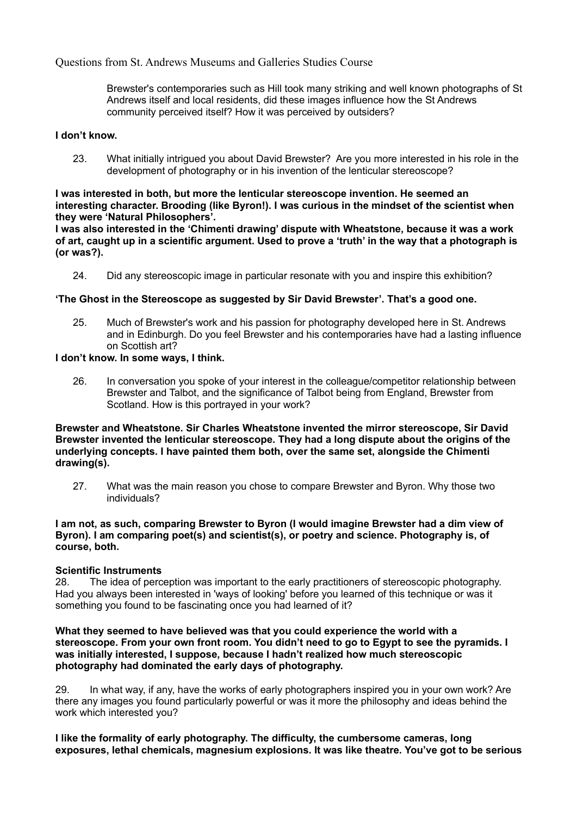Brewster's contemporaries such as Hill took many striking and well known photographs of St Andrews itself and local residents, did these images influence how the St Andrews community perceived itself? How it was perceived by outsiders?

# **I don't know.**

23. What initially intrigued you about David Brewster? Are you more interested in his role in the development of photography or in his invention of the lenticular stereoscope?

# **I was interested in both, but more the lenticular stereoscope invention. He seemed an interesting character. Brooding (like Byron!). I was curious in the mindset of the scientist when they were 'Natural Philosophers'.**

**I was also interested in the 'Chimenti drawing' dispute with Wheatstone, because it was a work of art, caught up in a scientific argument. Used to prove a 'truth' in the way that a photograph is (or was?).**

24. Did any stereoscopic image in particular resonate with you and inspire this exhibition?

# **'The Ghost in the Stereoscope as suggested by Sir David Brewster'. That's a good one.**

25. Much of Brewster's work and his passion for photography developed here in St. Andrews and in Edinburgh. Do you feel Brewster and his contemporaries have had a lasting influence on Scottish art?

# **I don't know. In some ways, I think.**

26. In conversation you spoke of your interest in the colleague/competitor relationship between Brewster and Talbot, and the significance of Talbot being from England, Brewster from Scotland. How is this portrayed in your work?

**Brewster and Wheatstone. Sir Charles Wheatstone invented the mirror stereoscope, Sir David Brewster invented the lenticular stereoscope. They had a long dispute about the origins of the underlying concepts. I have painted them both, over the same set, alongside the Chimenti drawing(s).**

27. What was the main reason you chose to compare Brewster and Byron. Why those two individuals?

#### **I am not, as such, comparing Brewster to Byron (I would imagine Brewster had a dim view of Byron). I am comparing poet(s) and scientist(s), or poetry and science. Photography is, of course, both.**

#### **Scientific Instruments**

28. The idea of perception was important to the early practitioners of stereoscopic photography. Had you always been interested in 'ways of looking' before you learned of this technique or was it something you found to be fascinating once you had learned of it?

#### **What they seemed to have believed was that you could experience the world with a stereoscope. From your own front room. You didn't need to go to Egypt to see the pyramids. I was initially interested, I suppose, because I hadn't realized how much stereoscopic photography had dominated the early days of photography.**

29. In what way, if any, have the works of early photographers inspired you in your own work? Are there any images you found particularly powerful or was it more the philosophy and ideas behind the work which interested you?

**I like the formality of early photography. The difficulty, the cumbersome cameras, long exposures, lethal chemicals, magnesium explosions. It was like theatre. You've got to be serious**